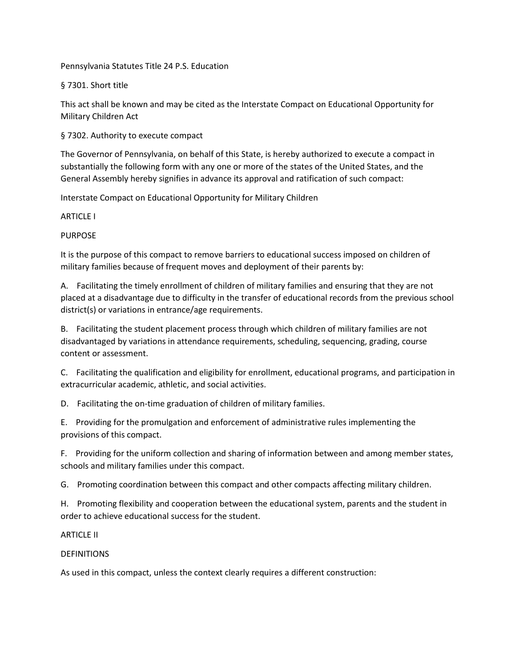Pennsylvania Statutes Title 24 P.S. Education

§ 7301. Short title

This act shall be known and may be cited as the Interstate Compact on Educational Opportunity for Military Children Act

§ 7302. Authority to execute compact

The Governor of Pennsylvania, on behalf of this State, is hereby authorized to execute a compact in substantially the following form with any one or more of the states of the United States, and the General Assembly hereby signifies in advance its approval and ratification of such compact:

Interstate Compact on Educational Opportunity for Military Children

ARTICLE I

# PURPOSE

It is the purpose of this compact to remove barriers to educational success imposed on children of military families because of frequent moves and deployment of their parents by:

A. Facilitating the timely enrollment of children of military families and ensuring that they are not placed at a disadvantage due to difficulty in the transfer of educational records from the previous school district(s) or variations in entrance/age requirements.

B. Facilitating the student placement process through which children of military families are not disadvantaged by variations in attendance requirements, scheduling, sequencing, grading, course content or assessment.

C. Facilitating the qualification and eligibility for enrollment, educational programs, and participation in extracurricular academic, athletic, and social activities.

D. Facilitating the on-time graduation of children of military families.

E. Providing for the promulgation and enforcement of administrative rules implementing the provisions of this compact.

F. Providing for the uniform collection and sharing of information between and among member states, schools and military families under this compact.

G. Promoting coordination between this compact and other compacts affecting military children.

H. Promoting flexibility and cooperation between the educational system, parents and the student in order to achieve educational success for the student.

# **ARTICLE II**

# DEFINITIONS

As used in this compact, unless the context clearly requires a different construction: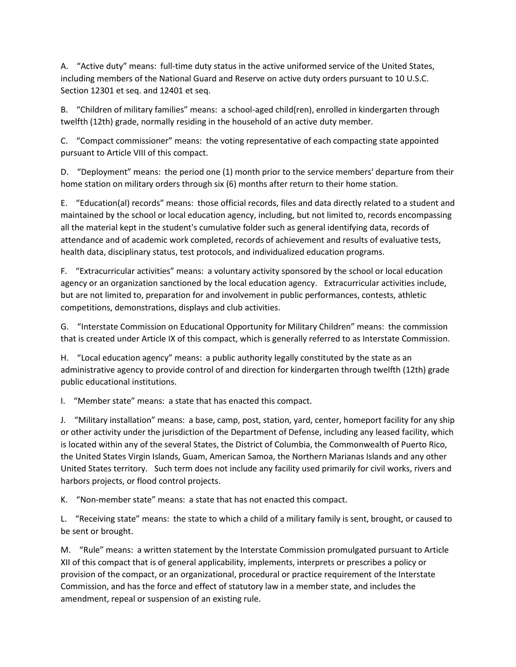A. "Active duty" means:  full-time duty status in the active uniformed service of the United States, including members of the National Guard and Reserve on active duty orders pursuant to 10 U.S.C. Section 12301 et seq. and 12401 et seq.

B. "Children of military families" means:  a school-aged child(ren), enrolled in kindergarten through twelfth (12th) grade, normally residing in the household of an active duty member.

C. "Compact commissioner" means:  the voting representative of each compacting state appointed pursuant to Article VIII of this compact.

D. "Deployment" means:  the period one (1) month prior to the service members' departure from their home station on military orders through six (6) months after return to their home station.

E. "Education(al) records" means:  those official records, files and data directly related to a student and maintained by the school or local education agency, including, but not limited to, records encompassing all the material kept in the student's cumulative folder such as general identifying data, records of attendance and of academic work completed, records of achievement and results of evaluative tests, health data, disciplinary status, test protocols, and individualized education programs.

F. "Extracurricular activities" means:  a voluntary activity sponsored by the school or local education agency or an organization sanctioned by the local education agency. Extracurricular activities include, but are not limited to, preparation for and involvement in public performances, contests, athletic competitions, demonstrations, displays and club activities.

G. "Interstate Commission on Educational Opportunity for Military Children" means:  the commission that is created under Article IX of this compact, which is generally referred to as Interstate Commission.

H. "Local education agency" means:  a public authority legally constituted by the state as an administrative agency to provide control of and direction for kindergarten through twelfth (12th) grade public educational institutions.

I. "Member state" means:  a state that has enacted this compact.

J. "Military installation" means:  a base, camp, post, station, yard, center, homeport facility for any ship or other activity under the jurisdiction of the Department of Defense, including any leased facility, which is located within any of the several States, the District of Columbia, the Commonwealth of Puerto Rico, the United States Virgin Islands, Guam, American Samoa, the Northern Marianas Islands and any other United States territory. Such term does not include any facility used primarily for civil works, rivers and harbors projects, or flood control projects.

K. "Non-member state" means:  a state that has not enacted this compact.

L. "Receiving state" means:  the state to which a child of a military family is sent, brought, or caused to be sent or brought.

M. "Rule" means:  a written statement by the Interstate Commission promulgated pursuant to Article XII of this compact that is of general applicability, implements, interprets or prescribes a policy or provision of the compact, or an organizational, procedural or practice requirement of the Interstate Commission, and has the force and effect of statutory law in a member state, and includes the amendment, repeal or suspension of an existing rule.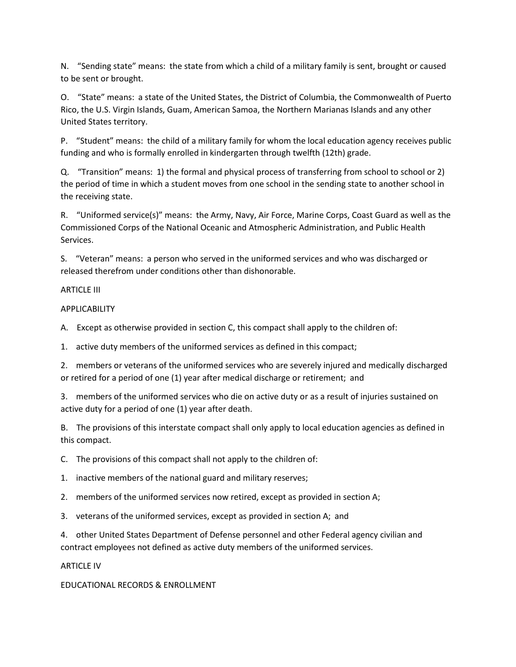N. "Sending state" means:  the state from which a child of a military family is sent, brought or caused to be sent or brought.

O. "State" means:  a state of the United States, the District of Columbia, the Commonwealth of Puerto Rico, the U.S. Virgin Islands, Guam, American Samoa, the Northern Marianas Islands and any other United States territory.

P. "Student" means:  the child of a military family for whom the local education agency receives public funding and who is formally enrolled in kindergarten through twelfth (12th) grade.

Q. "Transition" means:  1) the formal and physical process of transferring from school to school or 2) the period of time in which a student moves from one school in the sending state to another school in the receiving state.

R. "Uniformed service(s)" means:  the Army, Navy, Air Force, Marine Corps, Coast Guard as well as the Commissioned Corps of the National Oceanic and Atmospheric Administration, and Public Health Services.

S. "Veteran" means:  a person who served in the uniformed services and who was discharged or released therefrom under conditions other than dishonorable.

### ARTICLE III

### APPLICABILITY

A. Except as otherwise provided in section C, this compact shall apply to the children of:

1. active duty members of the uniformed services as defined in this compact;

2. members or veterans of the uniformed services who are severely injured and medically discharged or retired for a period of one (1) year after medical discharge or retirement;  and

3. members of the uniformed services who die on active duty or as a result of injuries sustained on active duty for a period of one (1) year after death.

B. The provisions of this interstate compact shall only apply to local education agencies as defined in this compact.

C. The provisions of this compact shall not apply to the children of:

1. inactive members of the national guard and military reserves;

2. members of the uniformed services now retired, except as provided in section A;

3. veterans of the uniformed services, except as provided in section A;  and

4. other United States Department of Defense personnel and other Federal agency civilian and contract employees not defined as active duty members of the uniformed services.

### ARTICLE IV

EDUCATIONAL RECORDS & ENROLLMENT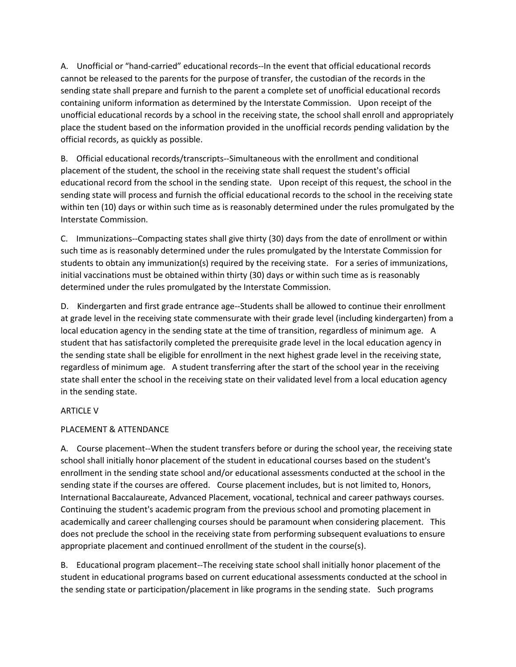A. Unofficial or "hand-carried" educational records--In the event that official educational records cannot be released to the parents for the purpose of transfer, the custodian of the records in the sending state shall prepare and furnish to the parent a complete set of unofficial educational records containing uniform information as determined by the Interstate Commission. Upon receipt of the unofficial educational records by a school in the receiving state, the school shall enroll and appropriately place the student based on the information provided in the unofficial records pending validation by the official records, as quickly as possible.

B. Official educational records/transcripts--Simultaneous with the enrollment and conditional placement of the student, the school in the receiving state shall request the student's official educational record from the school in the sending state. Upon receipt of this request, the school in the sending state will process and furnish the official educational records to the school in the receiving state within ten (10) days or within such time as is reasonably determined under the rules promulgated by the Interstate Commission.

C. Immunizations--Compacting states shall give thirty (30) days from the date of enrollment or within such time as is reasonably determined under the rules promulgated by the Interstate Commission for students to obtain any immunization(s) required by the receiving state. For a series of immunizations, initial vaccinations must be obtained within thirty (30) days or within such time as is reasonably determined under the rules promulgated by the Interstate Commission.

D. Kindergarten and first grade entrance age--Students shall be allowed to continue their enrollment at grade level in the receiving state commensurate with their grade level (including kindergarten) from a local education agency in the sending state at the time of transition, regardless of minimum age. A student that has satisfactorily completed the prerequisite grade level in the local education agency in the sending state shall be eligible for enrollment in the next highest grade level in the receiving state, regardless of minimum age. A student transferring after the start of the school year in the receiving state shall enter the school in the receiving state on their validated level from a local education agency in the sending state.

# ARTICLE V

# PLACEMENT & ATTENDANCE

A. Course placement--When the student transfers before or during the school year, the receiving state school shall initially honor placement of the student in educational courses based on the student's enrollment in the sending state school and/or educational assessments conducted at the school in the sending state if the courses are offered. Course placement includes, but is not limited to, Honors, International Baccalaureate, Advanced Placement, vocational, technical and career pathways courses. Continuing the student's academic program from the previous school and promoting placement in academically and career challenging courses should be paramount when considering placement. This does not preclude the school in the receiving state from performing subsequent evaluations to ensure appropriate placement and continued enrollment of the student in the course(s).

B. Educational program placement--The receiving state school shall initially honor placement of the student in educational programs based on current educational assessments conducted at the school in the sending state or participation/placement in like programs in the sending state. Such programs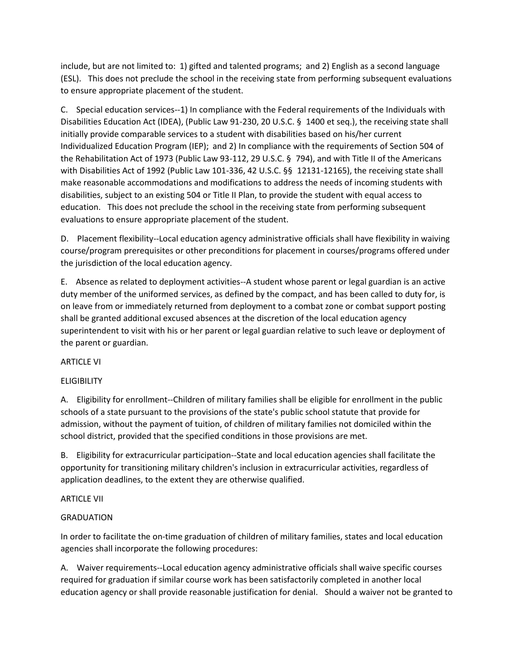include, but are not limited to:  1) gifted and talented programs;  and 2) English as a second language (ESL). This does not preclude the school in the receiving state from performing subsequent evaluations to ensure appropriate placement of the student.

C. Special education services--1) In compliance with the Federal requirements of the Individuals with Disabilities Education Act (IDEA), (Public Law 91-230, 20 U.S.C. § 1400 et seq.), the receiving state shall initially provide comparable services to a student with disabilities based on his/her current Individualized Education Program (IEP);  and 2) In compliance with the requirements of Section 504 of the Rehabilitation Act of 1973 (Public Law 93-112, 29 U.S.C. § 794), and with Title II of the Americans with Disabilities Act of 1992 (Public Law 101-336, 42 U.S.C. §§ 12131-12165), the receiving state shall make reasonable accommodations and modifications to address the needs of incoming students with disabilities, subject to an existing 504 or Title II Plan, to provide the student with equal access to education. This does not preclude the school in the receiving state from performing subsequent evaluations to ensure appropriate placement of the student.

D. Placement flexibility--Local education agency administrative officials shall have flexibility in waiving course/program prerequisites or other preconditions for placement in courses/programs offered under the jurisdiction of the local education agency.

E. Absence as related to deployment activities--A student whose parent or legal guardian is an active duty member of the uniformed services, as defined by the compact, and has been called to duty for, is on leave from or immediately returned from deployment to a combat zone or combat support posting shall be granted additional excused absences at the discretion of the local education agency superintendent to visit with his or her parent or legal guardian relative to such leave or deployment of the parent or guardian.

# ARTICLE VI

# **ELIGIBILITY**

A. Eligibility for enrollment--Children of military families shall be eligible for enrollment in the public schools of a state pursuant to the provisions of the state's public school statute that provide for admission, without the payment of tuition, of children of military families not domiciled within the school district, provided that the specified conditions in those provisions are met.

B. Eligibility for extracurricular participation--State and local education agencies shall facilitate the opportunity for transitioning military children's inclusion in extracurricular activities, regardless of application deadlines, to the extent they are otherwise qualified.

### ARTICLE VII

# GRADUATION

In order to facilitate the on-time graduation of children of military families, states and local education agencies shall incorporate the following procedures:

A. Waiver requirements--Local education agency administrative officials shall waive specific courses required for graduation if similar course work has been satisfactorily completed in another local education agency or shall provide reasonable justification for denial. Should a waiver not be granted to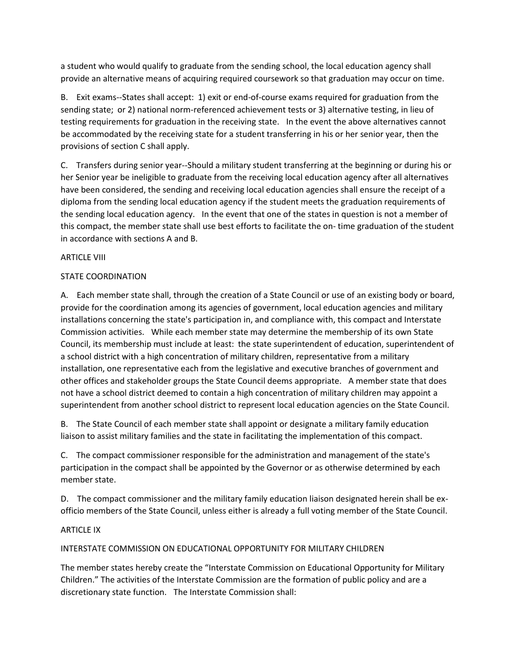a student who would qualify to graduate from the sending school, the local education agency shall provide an alternative means of acquiring required coursework so that graduation may occur on time.

B. Exit exams--States shall accept:  1) exit or end-of-course exams required for graduation from the sending state;  or 2) national norm-referenced achievement tests or 3) alternative testing, in lieu of testing requirements for graduation in the receiving state. In the event the above alternatives cannot be accommodated by the receiving state for a student transferring in his or her senior year, then the provisions of section C shall apply.

C. Transfers during senior year--Should a military student transferring at the beginning or during his or her Senior year be ineligible to graduate from the receiving local education agency after all alternatives have been considered, the sending and receiving local education agencies shall ensure the receipt of a diploma from the sending local education agency if the student meets the graduation requirements of the sending local education agency. In the event that one of the states in question is not a member of this compact, the member state shall use best efforts to facilitate the on- time graduation of the student in accordance with sections A and B.

### ARTICLE VIII

### STATE COORDINATION

A. Each member state shall, through the creation of a State Council or use of an existing body or board, provide for the coordination among its agencies of government, local education agencies and military installations concerning the state's participation in, and compliance with, this compact and Interstate Commission activities. While each member state may determine the membership of its own State Council, its membership must include at least:  the state superintendent of education, superintendent of a school district with a high concentration of military children, representative from a military installation, one representative each from the legislative and executive branches of government and other offices and stakeholder groups the State Council deems appropriate. A member state that does not have a school district deemed to contain a high concentration of military children may appoint a superintendent from another school district to represent local education agencies on the State Council.

B. The State Council of each member state shall appoint or designate a military family education liaison to assist military families and the state in facilitating the implementation of this compact.

C. The compact commissioner responsible for the administration and management of the state's participation in the compact shall be appointed by the Governor or as otherwise determined by each member state.

D. The compact commissioner and the military family education liaison designated herein shall be exofficio members of the State Council, unless either is already a full voting member of the State Council.

### ARTICLE IX

# INTERSTATE COMMISSION ON EDUCATIONAL OPPORTUNITY FOR MILITARY CHILDREN

The member states hereby create the "Interstate Commission on Educational Opportunity for Military Children." The activities of the Interstate Commission are the formation of public policy and are a discretionary state function. The Interstate Commission shall: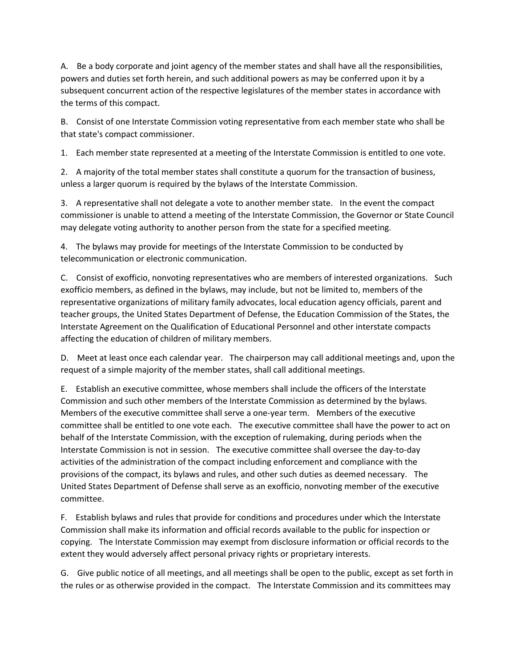A. Be a body corporate and joint agency of the member states and shall have all the responsibilities, powers and duties set forth herein, and such additional powers as may be conferred upon it by a subsequent concurrent action of the respective legislatures of the member states in accordance with the terms of this compact.

B. Consist of one Interstate Commission voting representative from each member state who shall be that state's compact commissioner.

1. Each member state represented at a meeting of the Interstate Commission is entitled to one vote.

2. A majority of the total member states shall constitute a quorum for the transaction of business, unless a larger quorum is required by the bylaws of the Interstate Commission.

3. A representative shall not delegate a vote to another member state. In the event the compact commissioner is unable to attend a meeting of the Interstate Commission, the Governor or State Council may delegate voting authority to another person from the state for a specified meeting.

4. The bylaws may provide for meetings of the Interstate Commission to be conducted by telecommunication or electronic communication.

C. Consist of exofficio, nonvoting representatives who are members of interested organizations. Such exofficio members, as defined in the bylaws, may include, but not be limited to, members of the representative organizations of military family advocates, local education agency officials, parent and teacher groups, the United States Department of Defense, the Education Commission of the States, the Interstate Agreement on the Qualification of Educational Personnel and other interstate compacts affecting the education of children of military members.

D. Meet at least once each calendar year. The chairperson may call additional meetings and, upon the request of a simple majority of the member states, shall call additional meetings.

E. Establish an executive committee, whose members shall include the officers of the Interstate Commission and such other members of the Interstate Commission as determined by the bylaws. Members of the executive committee shall serve a one-year term. Members of the executive committee shall be entitled to one vote each. The executive committee shall have the power to act on behalf of the Interstate Commission, with the exception of rulemaking, during periods when the Interstate Commission is not in session. The executive committee shall oversee the day-to-day activities of the administration of the compact including enforcement and compliance with the provisions of the compact, its bylaws and rules, and other such duties as deemed necessary. The United States Department of Defense shall serve as an exofficio, nonvoting member of the executive committee.

F. Establish bylaws and rules that provide for conditions and procedures under which the Interstate Commission shall make its information and official records available to the public for inspection or copying. The Interstate Commission may exempt from disclosure information or official records to the extent they would adversely affect personal privacy rights or proprietary interests.

G. Give public notice of all meetings, and all meetings shall be open to the public, except as set forth in the rules or as otherwise provided in the compact. The Interstate Commission and its committees may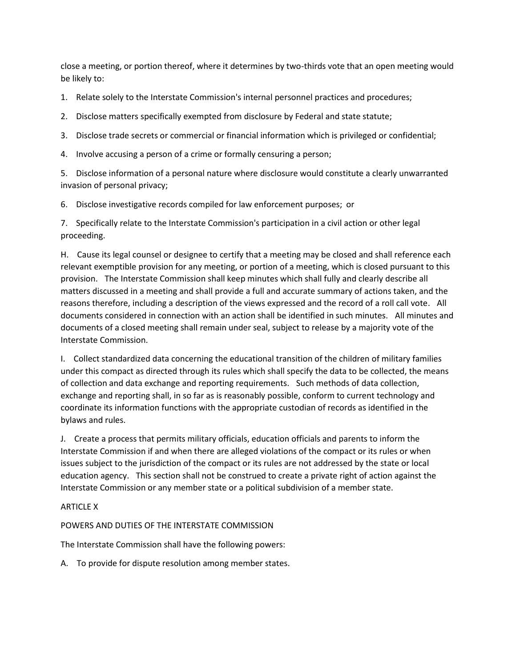close a meeting, or portion thereof, where it determines by two-thirds vote that an open meeting would be likely to:

1. Relate solely to the Interstate Commission's internal personnel practices and procedures;

2. Disclose matters specifically exempted from disclosure by Federal and state statute;

3. Disclose trade secrets or commercial or financial information which is privileged or confidential;

4. Involve accusing a person of a crime or formally censuring a person;

5. Disclose information of a personal nature where disclosure would constitute a clearly unwarranted invasion of personal privacy;

6. Disclose investigative records compiled for law enforcement purposes;  or

7. Specifically relate to the Interstate Commission's participation in a civil action or other legal proceeding.

H. Cause its legal counsel or designee to certify that a meeting may be closed and shall reference each relevant exemptible provision for any meeting, or portion of a meeting, which is closed pursuant to this provision. The Interstate Commission shall keep minutes which shall fully and clearly describe all matters discussed in a meeting and shall provide a full and accurate summary of actions taken, and the reasons therefore, including a description of the views expressed and the record of a roll call vote. All documents considered in connection with an action shall be identified in such minutes. All minutes and documents of a closed meeting shall remain under seal, subject to release by a majority vote of the Interstate Commission.

I. Collect standardized data concerning the educational transition of the children of military families under this compact as directed through its rules which shall specify the data to be collected, the means of collection and data exchange and reporting requirements. Such methods of data collection, exchange and reporting shall, in so far as is reasonably possible, conform to current technology and coordinate its information functions with the appropriate custodian of records as identified in the bylaws and rules.

J. Create a process that permits military officials, education officials and parents to inform the Interstate Commission if and when there are alleged violations of the compact or its rules or when issues subject to the jurisdiction of the compact or its rules are not addressed by the state or local education agency. This section shall not be construed to create a private right of action against the Interstate Commission or any member state or a political subdivision of a member state.

# ARTICLE X

# POWERS AND DUTIES OF THE INTERSTATE COMMISSION

The Interstate Commission shall have the following powers:

A. To provide for dispute resolution among member states.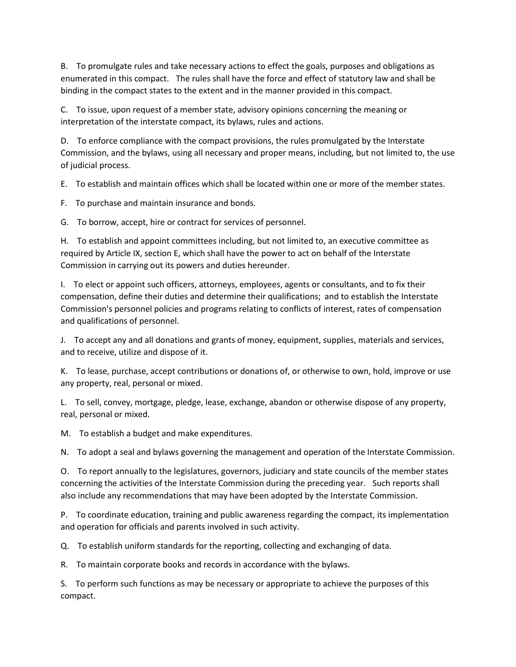B. To promulgate rules and take necessary actions to effect the goals, purposes and obligations as enumerated in this compact. The rules shall have the force and effect of statutory law and shall be binding in the compact states to the extent and in the manner provided in this compact.

C. To issue, upon request of a member state, advisory opinions concerning the meaning or interpretation of the interstate compact, its bylaws, rules and actions.

D. To enforce compliance with the compact provisions, the rules promulgated by the Interstate Commission, and the bylaws, using all necessary and proper means, including, but not limited to, the use of judicial process.

E. To establish and maintain offices which shall be located within one or more of the member states.

F. To purchase and maintain insurance and bonds.

G. To borrow, accept, hire or contract for services of personnel.

H. To establish and appoint committees including, but not limited to, an executive committee as required by Article IX, section E, which shall have the power to act on behalf of the Interstate Commission in carrying out its powers and duties hereunder.

I. To elect or appoint such officers, attorneys, employees, agents or consultants, and to fix their compensation, define their duties and determine their qualifications;  and to establish the Interstate Commission's personnel policies and programs relating to conflicts of interest, rates of compensation and qualifications of personnel.

J. To accept any and all donations and grants of money, equipment, supplies, materials and services, and to receive, utilize and dispose of it.

K. To lease, purchase, accept contributions or donations of, or otherwise to own, hold, improve or use any property, real, personal or mixed.

L. To sell, convey, mortgage, pledge, lease, exchange, abandon or otherwise dispose of any property, real, personal or mixed.

M. To establish a budget and make expenditures.

N. To adopt a seal and bylaws governing the management and operation of the Interstate Commission.

O. To report annually to the legislatures, governors, judiciary and state councils of the member states concerning the activities of the Interstate Commission during the preceding year. Such reports shall also include any recommendations that may have been adopted by the Interstate Commission.

P. To coordinate education, training and public awareness regarding the compact, its implementation and operation for officials and parents involved in such activity.

Q. To establish uniform standards for the reporting, collecting and exchanging of data.

R. To maintain corporate books and records in accordance with the bylaws.

S. To perform such functions as may be necessary or appropriate to achieve the purposes of this compact.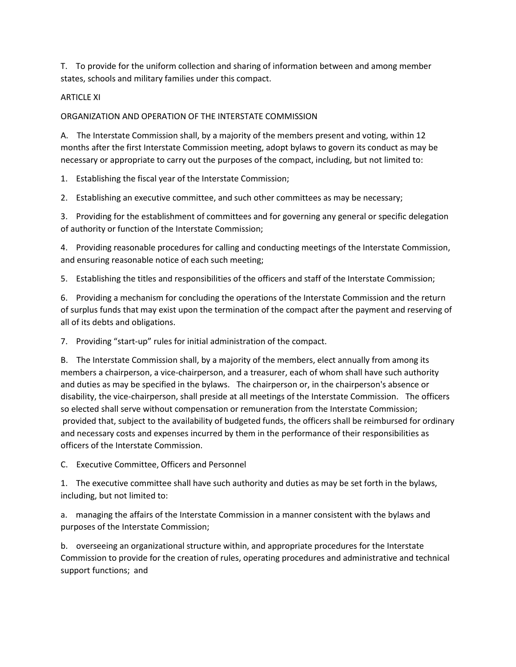T. To provide for the uniform collection and sharing of information between and among member states, schools and military families under this compact.

### ARTICLE XI

### ORGANIZATION AND OPERATION OF THE INTERSTATE COMMISSION

A. The Interstate Commission shall, by a majority of the members present and voting, within 12 months after the first Interstate Commission meeting, adopt bylaws to govern its conduct as may be necessary or appropriate to carry out the purposes of the compact, including, but not limited to:

1. Establishing the fiscal year of the Interstate Commission;

2. Establishing an executive committee, and such other committees as may be necessary;

3. Providing for the establishment of committees and for governing any general or specific delegation of authority or function of the Interstate Commission;

4. Providing reasonable procedures for calling and conducting meetings of the Interstate Commission, and ensuring reasonable notice of each such meeting;

5. Establishing the titles and responsibilities of the officers and staff of the Interstate Commission;

6. Providing a mechanism for concluding the operations of the Interstate Commission and the return of surplus funds that may exist upon the termination of the compact after the payment and reserving of all of its debts and obligations.

7. Providing "start-up" rules for initial administration of the compact.

B. The Interstate Commission shall, by a majority of the members, elect annually from among its members a chairperson, a vice-chairperson, and a treasurer, each of whom shall have such authority and duties as may be specified in the bylaws. The chairperson or, in the chairperson's absence or disability, the vice-chairperson, shall preside at all meetings of the Interstate Commission. The officers so elected shall serve without compensation or remuneration from the Interstate Commission; provided that, subject to the availability of budgeted funds, the officers shall be reimbursed for ordinary and necessary costs and expenses incurred by them in the performance of their responsibilities as officers of the Interstate Commission.

C. Executive Committee, Officers and Personnel

1. The executive committee shall have such authority and duties as may be set forth in the bylaws, including, but not limited to:

a. managing the affairs of the Interstate Commission in a manner consistent with the bylaws and purposes of the Interstate Commission;

b. overseeing an organizational structure within, and appropriate procedures for the Interstate Commission to provide for the creation of rules, operating procedures and administrative and technical support functions;  and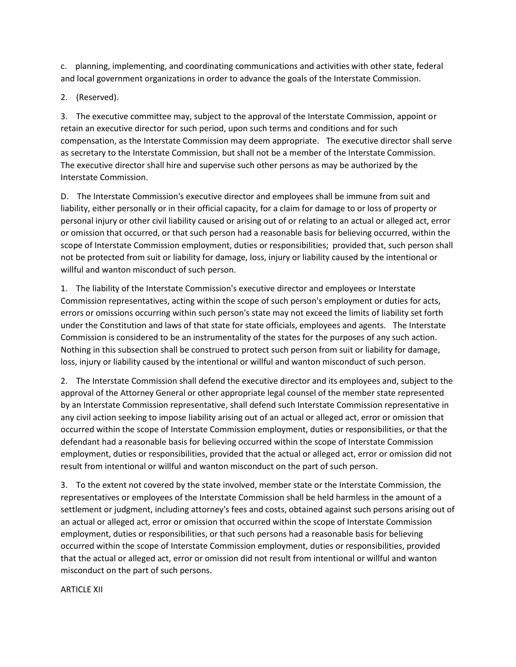c. planning, implementing, and coordinating communications and activities with other state, federal and local government organizations in order to advance the goals of the Interstate Commission.

2. (Reserved).

3. The executive committee may, subject to the approval of the Interstate Commission, appoint or retain an executive director for such period, upon such terms and conditions and for such compensation, as the Interstate Commission may deem appropriate. The executive director shall serve as secretary to the Interstate Commission, but shall not be a member of the Interstate Commission. The executive director shall hire and supervise such other persons as may be authorized by the Interstate Commission.

D. The Interstate Commission's executive director and employees shall be immune from suit and liability, either personally or in their official capacity, for a claim for damage to or loss of property or personal injury or other civil liability caused or arising out of or relating to an actual or alleged act, error or omission that occurred, or that such person had a reasonable basis for believing occurred, within the scope of Interstate Commission employment, duties or responsibilities;  provided that, such person shall not be protected from suit or liability for damage, loss, injury or liability caused by the intentional or willful and wanton misconduct of such person.

1. The liability of the Interstate Commission's executive director and employees or Interstate Commission representatives, acting within the scope of such person's employment or duties for acts, errors or omissions occurring within such person's state may not exceed the limits of liability set forth under the Constitution and laws of that state for state officials, employees and agents. The Interstate Commission is considered to be an instrumentality of the states for the purposes of any such action. Nothing in this subsection shall be construed to protect such person from suit or liability for damage, loss, injury or liability caused by the intentional or willful and wanton misconduct of such person.

2. The Interstate Commission shall defend the executive director and its employees and, subject to the approval of the Attorney General or other appropriate legal counsel of the member state represented by an Interstate Commission representative, shall defend such Interstate Commission representative in any civil action seeking to impose liability arising out of an actual or alleged act, error or omission that occurred within the scope of Interstate Commission employment, duties or responsibilities, or that the defendant had a reasonable basis for believing occurred within the scope of Interstate Commission employment, duties or responsibilities, provided that the actual or alleged act, error or omission did not result from intentional or willful and wanton misconduct on the part of such person.

3. To the extent not covered by the state involved, member state or the Interstate Commission, the representatives or employees of the Interstate Commission shall be held harmless in the amount of a settlement or judgment, including attorney's fees and costs, obtained against such persons arising out of an actual or alleged act, error or omission that occurred within the scope of Interstate Commission employment, duties or responsibilities, or that such persons had a reasonable basis for believing occurred within the scope of Interstate Commission employment, duties or responsibilities, provided that the actual or alleged act, error or omission did not result from intentional or willful and wanton misconduct on the part of such persons.

ARTICLE XII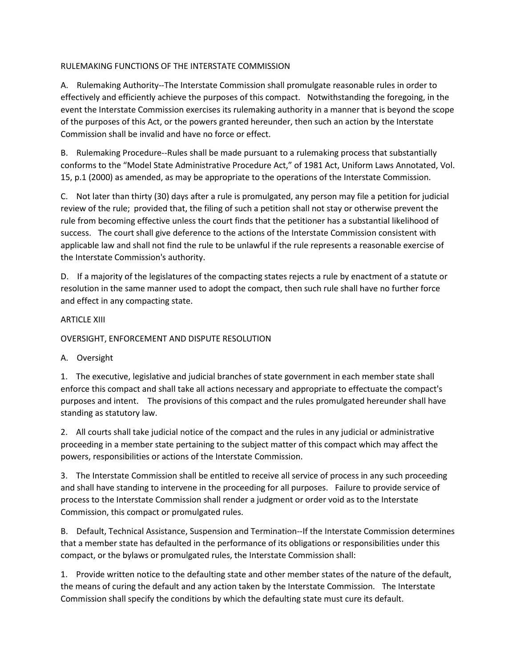### RULEMAKING FUNCTIONS OF THE INTERSTATE COMMISSION

A. Rulemaking Authority--The Interstate Commission shall promulgate reasonable rules in order to effectively and efficiently achieve the purposes of this compact. Notwithstanding the foregoing, in the event the Interstate Commission exercises its rulemaking authority in a manner that is beyond the scope of the purposes of this Act, or the powers granted hereunder, then such an action by the Interstate Commission shall be invalid and have no force or effect.

B. Rulemaking Procedure--Rules shall be made pursuant to a rulemaking process that substantially conforms to the "Model State Administrative Procedure Act," of 1981 Act, Uniform Laws Annotated, Vol. 15, p.1 (2000) as amended, as may be appropriate to the operations of the Interstate Commission.

C. Not later than thirty (30) days after a rule is promulgated, any person may file a petition for judicial review of the rule;  provided that, the filing of such a petition shall not stay or otherwise prevent the rule from becoming effective unless the court finds that the petitioner has a substantial likelihood of success. The court shall give deference to the actions of the Interstate Commission consistent with applicable law and shall not find the rule to be unlawful if the rule represents a reasonable exercise of the Interstate Commission's authority.

D. If a majority of the legislatures of the compacting states rejects a rule by enactment of a statute or resolution in the same manner used to adopt the compact, then such rule shall have no further force and effect in any compacting state.

### ARTICLE XIII

OVERSIGHT, ENFORCEMENT AND DISPUTE RESOLUTION

### A. Oversight

1. The executive, legislative and judicial branches of state government in each member state shall enforce this compact and shall take all actions necessary and appropriate to effectuate the compact's purposes and intent. The provisions of this compact and the rules promulgated hereunder shall have standing as statutory law.

2. All courts shall take judicial notice of the compact and the rules in any judicial or administrative proceeding in a member state pertaining to the subject matter of this compact which may affect the powers, responsibilities or actions of the Interstate Commission.

3. The Interstate Commission shall be entitled to receive all service of process in any such proceeding and shall have standing to intervene in the proceeding for all purposes. Failure to provide service of process to the Interstate Commission shall render a judgment or order void as to the Interstate Commission, this compact or promulgated rules.

B. Default, Technical Assistance, Suspension and Termination--If the Interstate Commission determines that a member state has defaulted in the performance of its obligations or responsibilities under this compact, or the bylaws or promulgated rules, the Interstate Commission shall:

1. Provide written notice to the defaulting state and other member states of the nature of the default, the means of curing the default and any action taken by the Interstate Commission. The Interstate Commission shall specify the conditions by which the defaulting state must cure its default.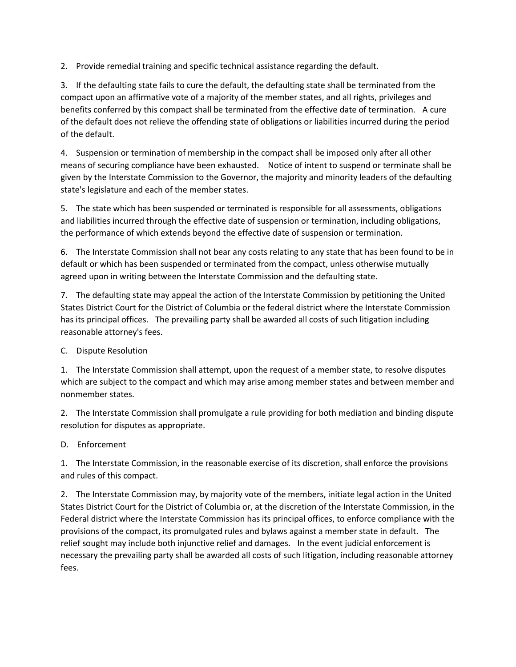2. Provide remedial training and specific technical assistance regarding the default.

3. If the defaulting state fails to cure the default, the defaulting state shall be terminated from the compact upon an affirmative vote of a majority of the member states, and all rights, privileges and benefits conferred by this compact shall be terminated from the effective date of termination. A cure of the default does not relieve the offending state of obligations or liabilities incurred during the period of the default.

4. Suspension or termination of membership in the compact shall be imposed only after all other means of securing compliance have been exhausted. Notice of intent to suspend or terminate shall be given by the Interstate Commission to the Governor, the majority and minority leaders of the defaulting state's legislature and each of the member states.

5. The state which has been suspended or terminated is responsible for all assessments, obligations and liabilities incurred through the effective date of suspension or termination, including obligations, the performance of which extends beyond the effective date of suspension or termination.

6. The Interstate Commission shall not bear any costs relating to any state that has been found to be in default or which has been suspended or terminated from the compact, unless otherwise mutually agreed upon in writing between the Interstate Commission and the defaulting state.

7. The defaulting state may appeal the action of the Interstate Commission by petitioning the United States District Court for the District of Columbia or the federal district where the Interstate Commission has its principal offices. The prevailing party shall be awarded all costs of such litigation including reasonable attorney's fees.

# C. Dispute Resolution

1. The Interstate Commission shall attempt, upon the request of a member state, to resolve disputes which are subject to the compact and which may arise among member states and between member and nonmember states.

2. The Interstate Commission shall promulgate a rule providing for both mediation and binding dispute resolution for disputes as appropriate.

# D. Enforcement

1. The Interstate Commission, in the reasonable exercise of its discretion, shall enforce the provisions and rules of this compact.

2. The Interstate Commission may, by majority vote of the members, initiate legal action in the United States District Court for the District of Columbia or, at the discretion of the Interstate Commission, in the Federal district where the Interstate Commission has its principal offices, to enforce compliance with the provisions of the compact, its promulgated rules and bylaws against a member state in default. The relief sought may include both injunctive relief and damages. In the event judicial enforcement is necessary the prevailing party shall be awarded all costs of such litigation, including reasonable attorney fees.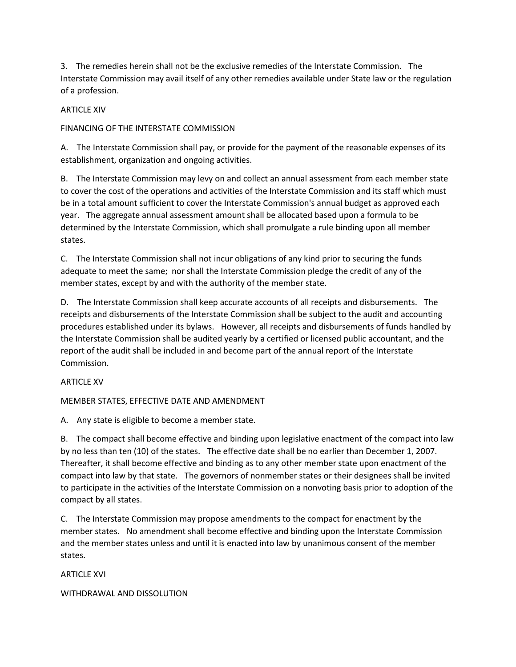3. The remedies herein shall not be the exclusive remedies of the Interstate Commission. The Interstate Commission may avail itself of any other remedies available under State law or the regulation of a profession.

### ARTICLE XIV

FINANCING OF THE INTERSTATE COMMISSION

A. The Interstate Commission shall pay, or provide for the payment of the reasonable expenses of its establishment, organization and ongoing activities.

B. The Interstate Commission may levy on and collect an annual assessment from each member state to cover the cost of the operations and activities of the Interstate Commission and its staff which must be in a total amount sufficient to cover the Interstate Commission's annual budget as approved each year. The aggregate annual assessment amount shall be allocated based upon a formula to be determined by the Interstate Commission, which shall promulgate a rule binding upon all member states.

C. The Interstate Commission shall not incur obligations of any kind prior to securing the funds adequate to meet the same;  nor shall the Interstate Commission pledge the credit of any of the member states, except by and with the authority of the member state.

D. The Interstate Commission shall keep accurate accounts of all receipts and disbursements. The receipts and disbursements of the Interstate Commission shall be subject to the audit and accounting procedures established under its bylaws. However, all receipts and disbursements of funds handled by the Interstate Commission shall be audited yearly by a certified or licensed public accountant, and the report of the audit shall be included in and become part of the annual report of the Interstate Commission.

### ARTICLE XV

MEMBER STATES, EFFECTIVE DATE AND AMENDMENT

A. Any state is eligible to become a member state.

B. The compact shall become effective and binding upon legislative enactment of the compact into law by no less than ten (10) of the states. The effective date shall be no earlier than December 1, 2007. Thereafter, it shall become effective and binding as to any other member state upon enactment of the compact into law by that state. The governors of nonmember states or their designees shall be invited to participate in the activities of the Interstate Commission on a nonvoting basis prior to adoption of the compact by all states.

C. The Interstate Commission may propose amendments to the compact for enactment by the member states. No amendment shall become effective and binding upon the Interstate Commission and the member states unless and until it is enacted into law by unanimous consent of the member states.

ARTICLE XVI

WITHDRAWAL AND DISSOLUTION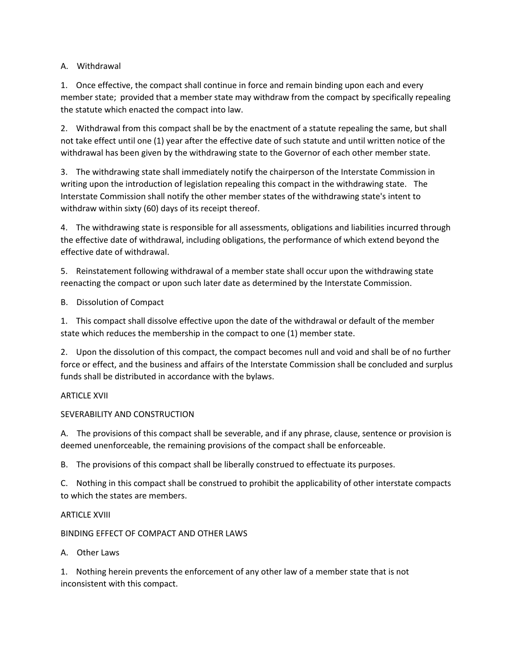# A. Withdrawal

1. Once effective, the compact shall continue in force and remain binding upon each and every member state;  provided that a member state may withdraw from the compact by specifically repealing the statute which enacted the compact into law.

2. Withdrawal from this compact shall be by the enactment of a statute repealing the same, but shall not take effect until one (1) year after the effective date of such statute and until written notice of the withdrawal has been given by the withdrawing state to the Governor of each other member state.

3. The withdrawing state shall immediately notify the chairperson of the Interstate Commission in writing upon the introduction of legislation repealing this compact in the withdrawing state. The Interstate Commission shall notify the other member states of the withdrawing state's intent to withdraw within sixty (60) days of its receipt thereof.

4. The withdrawing state is responsible for all assessments, obligations and liabilities incurred through the effective date of withdrawal, including obligations, the performance of which extend beyond the effective date of withdrawal.

5. Reinstatement following withdrawal of a member state shall occur upon the withdrawing state reenacting the compact or upon such later date as determined by the Interstate Commission.

B. Dissolution of Compact

1. This compact shall dissolve effective upon the date of the withdrawal or default of the member state which reduces the membership in the compact to one (1) member state.

2. Upon the dissolution of this compact, the compact becomes null and void and shall be of no further force or effect, and the business and affairs of the Interstate Commission shall be concluded and surplus funds shall be distributed in accordance with the bylaws.

# ARTICLE XVII

# SEVERABILITY AND CONSTRUCTION

A. The provisions of this compact shall be severable, and if any phrase, clause, sentence or provision is deemed unenforceable, the remaining provisions of the compact shall be enforceable.

B. The provisions of this compact shall be liberally construed to effectuate its purposes.

C. Nothing in this compact shall be construed to prohibit the applicability of other interstate compacts to which the states are members.

# ARTICLE XVIII

# BINDING EFFECT OF COMPACT AND OTHER LAWS

# A. Other Laws

1. Nothing herein prevents the enforcement of any other law of a member state that is not inconsistent with this compact.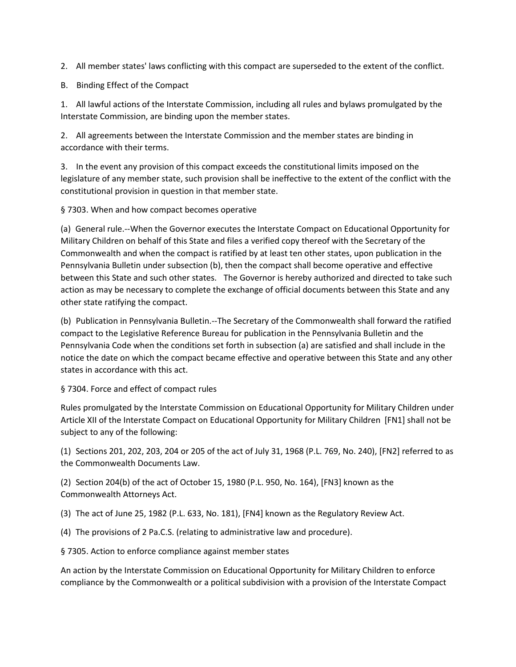2. All member states' laws conflicting with this compact are superseded to the extent of the conflict.

B. Binding Effect of the Compact

1. All lawful actions of the Interstate Commission, including all rules and bylaws promulgated by the Interstate Commission, are binding upon the member states.

2. All agreements between the Interstate Commission and the member states are binding in accordance with their terms.

3. In the event any provision of this compact exceeds the constitutional limits imposed on the legislature of any member state, such provision shall be ineffective to the extent of the conflict with the constitutional provision in question in that member state.

§ 7303. When and how compact becomes operative

(a) General rule.--When the Governor executes the Interstate Compact on Educational Opportunity for Military Children on behalf of this State and files a verified copy thereof with the Secretary of the Commonwealth and when the compact is ratified by at least ten other states, upon publication in the Pennsylvania Bulletin under subsection (b), then the compact shall become operative and effective between this State and such other states. The Governor is hereby authorized and directed to take such action as may be necessary to complete the exchange of official documents between this State and any other state ratifying the compact.

(b) Publication in Pennsylvania Bulletin.--The Secretary of the Commonwealth shall forward the ratified compact to the Legislative Reference Bureau for publication in the Pennsylvania Bulletin and the Pennsylvania Code when the conditions set forth in subsection (a) are satisfied and shall include in the notice the date on which the compact became effective and operative between this State and any other states in accordance with this act.

# § 7304. Force and effect of compact rules

Rules promulgated by the Interstate Commission on Educational Opportunity for Military Children under Article XII of the Interstate Compact on Educational Opportunity for Military Children  [FN1] shall not be subject to any of the following:

(1) Sections 201, 202, 203, 204 or 205 of the act of July 31, 1968 (P.L. 769, No. 240), [FN2] referred to as the Commonwealth Documents Law.

(2) Section 204(b) of the act of October 15, 1980 (P.L. 950, No. 164), [FN3] known as the Commonwealth Attorneys Act.

(3) The act of June 25, 1982 (P.L. 633, No. 181), [FN4] known as the Regulatory Review Act.

(4) The provisions of 2 Pa.C.S. (relating to administrative law and procedure).

§ 7305. Action to enforce compliance against member states

An action by the Interstate Commission on Educational Opportunity for Military Children to enforce compliance by the Commonwealth or a political subdivision with a provision of the Interstate Compact